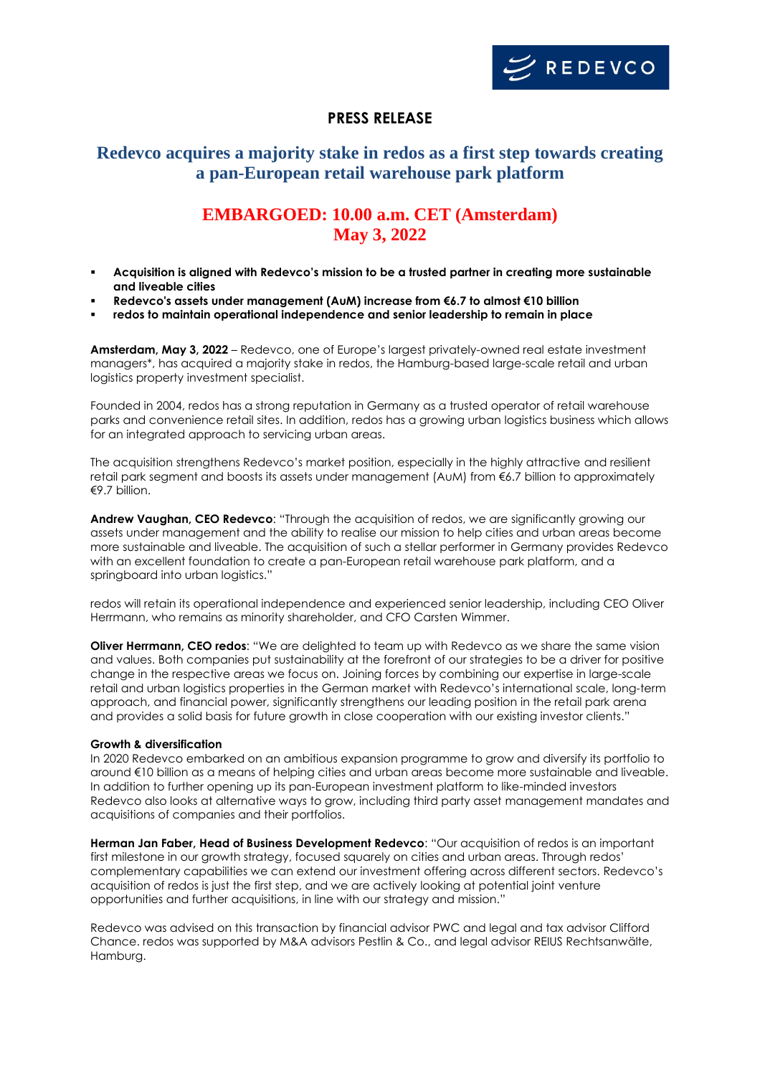

### **PRESS RELEASE**

## **Redevco acquires a majority stake in redos as a first step towards creating a pan-European retail warehouse park platform**

# **EMBARGOED: 10.00 a.m. CET (Amsterdam) May 3, 2022**

- **Acquisition is aligned with Redevco's mission to be a trusted partner in creating more sustainable and liveable cities**
- **Redevco's assets under management (AuM) increase from €6.7 to almost €10 billion**
- **redos to maintain operational independence and senior leadership to remain in place**

**Amsterdam, May 3, 2022** – Redevco, one of Europe's largest privately-owned real estate investment managers\*, has acquired a majority stake in redos, the Hamburg-based large-scale retail and urban logistics property investment specialist.

Founded in 2004, redos has a strong reputation in Germany as a trusted operator of retail warehouse parks and convenience retail sites. In addition, redos has a growing urban logistics business which allows for an integrated approach to servicing urban areas.

The acquisition strengthens Redevco's market position, especially in the highly attractive and resilient retail park segment and boosts its assets under management (AuM) from €6.7 billion to approximately €9.7 billion.

**Andrew Vaughan, CEO Redevco**: "Through the acquisition of redos, we are significantly growing our assets under management and the ability to realise our mission to help cities and urban areas become more sustainable and liveable. The acquisition of such a stellar performer in Germany provides Redevco with an excellent foundation to create a pan-European retail warehouse park platform, and a springboard into urban logistics."

redos will retain its operational independence and experienced senior leadership, including CEO Oliver Herrmann, who remains as minority shareholder, and CFO Carsten Wimmer.

**Oliver Herrmann, CEO redos**: "We are delighted to team up with Redevco as we share the same vision and values. Both companies put sustainability at the forefront of our strategies to be a driver for positive change in the respective areas we focus on. Joining forces by combining our expertise in large-scale retail and urban logistics properties in the German market with Redevco's international scale, long-term approach, and financial power, significantly strengthens our leading position in the retail park arena and provides a solid basis for future growth in close cooperation with our existing investor clients."

### **Growth & diversification**

In 2020 Redevco embarked on an ambitious expansion programme to grow and diversify its portfolio to around €10 billion as a means of helping cities and urban areas become more sustainable and liveable. In addition to further opening up its pan-European investment platform to like-minded investors Redevco also looks at alternative ways to grow, including third party asset management mandates and acquisitions of companies and their portfolios.

**Herman Jan Faber, Head of Business Development Redevco**: "Our acquisition of redos is an important first milestone in our growth strategy, focused squarely on cities and urban areas. Through redos' complementary capabilities we can extend our investment offering across different sectors. Redevco's acquisition of redos is just the first step, and we are actively looking at potential joint venture opportunities and further acquisitions, in line with our strategy and mission."

Redevco was advised on this transaction by financial advisor PWC and legal and tax advisor Clifford Chance. redos was supported by M&A advisors Pestlin & Co., and legal advisor REIUS Rechtsanwälte, Hamburg.